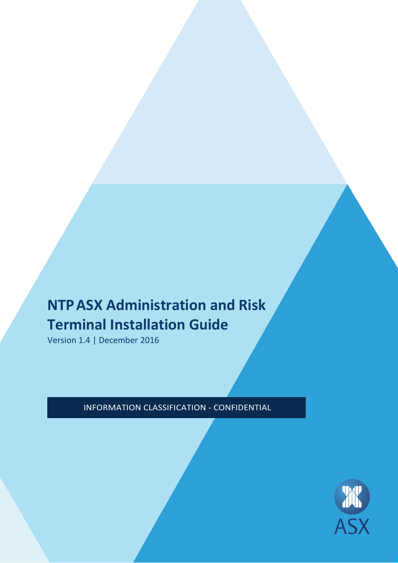# **NTPASX Administration and Risk Terminal Installation Guide**

Version 1.4 | December 2016

INFORMATION CLASSIFICATION - CONFIDENTIAL

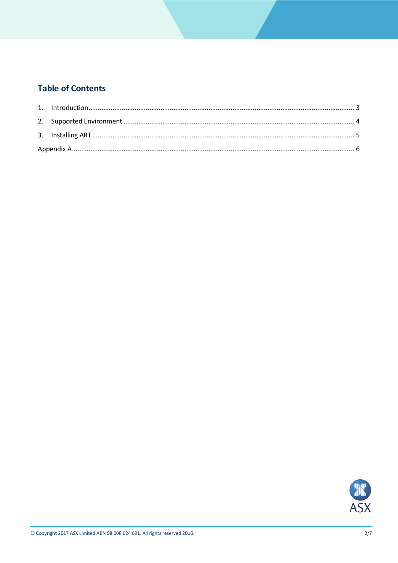## **Table of Contents**

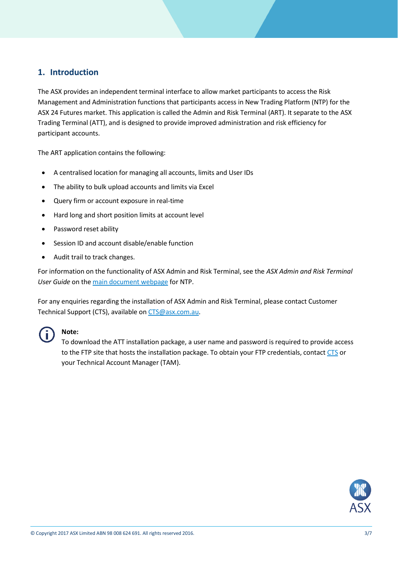## <span id="page-2-0"></span>**1. Introduction**

The ASX provides an independent terminal interface to allow market participants to access the Risk Management and Administration functions that participants access in New Trading Platform (NTP) for the ASX 24 Futures market. This application is called the Admin and Risk Terminal (ART). It separate to the ASX Trading Terminal (ATT), and is designed to provide improved administration and risk efficiency for participant accounts.

The ART application contains the following:

- A centralised location for managing all accounts, limits and User IDs
- The ability to bulk upload accounts and limits via Excel
- Query firm or account exposure in real-time
- Hard long and short position limits at account level
- Password reset ability
- Session ID and account disable/enable function
- Audit trail to track changes.

For information on the functionality of ASX Admin and Risk Terminal, see the *ASX Admin and Risk Terminal User Guide* on th[e main document webpage](http://www.asx.com.au/services/ntp/document-library.htm) for NTP.

For any enquiries regarding the installation of ASX Admin and Risk Terminal, please contact Customer Technical Support (CTS), available on [CTS@asx.com.au.](mailto:CTS@asx.com.au)



## **Note:**

To download the ATT installation package, a user name and password is required to provide access to the FTP site that hosts the installation package. To obtain your FTP credentials, contac[t CTS](mailto:cts@asx.com.au) or your Technical Account Manager (TAM).

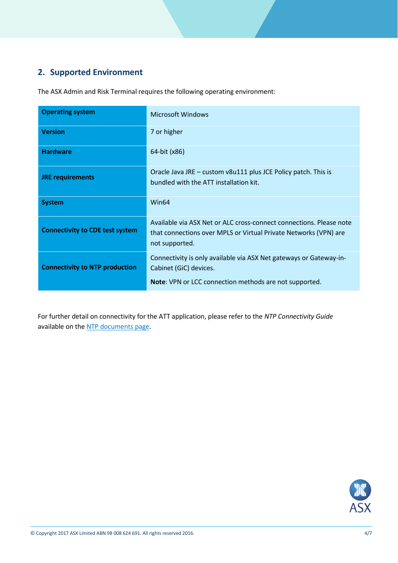# <span id="page-3-0"></span>**2. Supported Environment**

The ASX Admin and Risk Terminal requires the following operating environment:

| <b>Operating system</b>                | Microsoft Windows                                                                                                                                             |
|----------------------------------------|---------------------------------------------------------------------------------------------------------------------------------------------------------------|
| <b>Version</b>                         | 7 or higher                                                                                                                                                   |
| <b>Hardware</b>                        | 64-bit (x86)                                                                                                                                                  |
| <b>JRE requirements</b>                | Oracle Java JRE – custom v8u111 plus JCE Policy patch. This is<br>bundled with the ATT installation kit.                                                      |
| <b>System</b>                          | Win64                                                                                                                                                         |
| <b>Connectivity to CDE test system</b> | Available via ASX Net or ALC cross-connect connections. Please note<br>that connections over MPLS or Virtual Private Networks (VPN) are<br>not supported.     |
| <b>Connectivity to NTP production</b>  | Connectivity is only available via ASX Net gateways or Gateway-in-<br>Cabinet (GiC) devices.<br><b>Note:</b> VPN or LCC connection methods are not supported. |

For further detail on connectivity for the ATT application, please refer to the *NTP Connectivity Guide* available on th[e NTP documents page.](http://www.asx.com.au/services/ntp/document-library.htm)

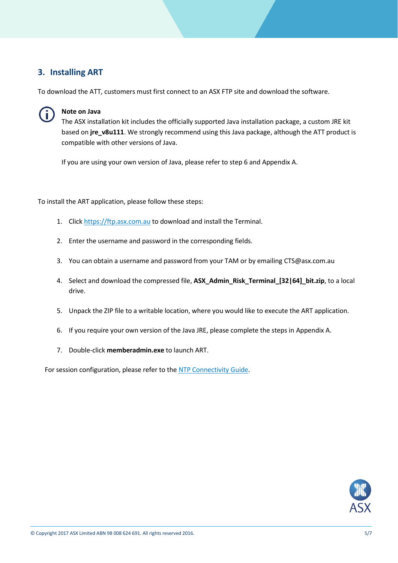## <span id="page-4-0"></span>**3. Installing ART**

To download the ATT, customers must first connect to an ASX FTP site and download the software.



#### **Note on Java**

The ASX installation kit includes the officially supported Java installation package, a custom JRE kit based on **jre\_v8u111**. We strongly recommend using this Java package, although the ATT product is compatible with other versions of Java.

If you are using your own version of Java, please refer to step 6 and Appendix A.

<span id="page-4-1"></span>To install the ART application, please follow these steps:

- 1. Click [https://ftp.asx.com.au](https://ftp.asx.com.au/) to download and install the Terminal.
- 2. Enter the username and password in the corresponding fields.
- 3. You can obtain a username and password from your TAM or by emailing [CTS@asx.com.au](mailto:CTS@asx.com.au)
- 4. Select and download the compressed file, **ASX\_Admin\_Risk\_Terminal\_[32|64]\_bit.zip**, to a local drive.
- 5. Unpack the ZIP file to a writable location, where you would like to execute the ART application.
- 6. If you require your own version of the Java JRE, please complete the steps in Appendix A.
- 7. Double-click **memberadmin.exe** to launch ART.

For session configuration, please refer to the NTP [Connectivity Guide.](http://www.asx.com.au/services/ntp/document-library.htm)

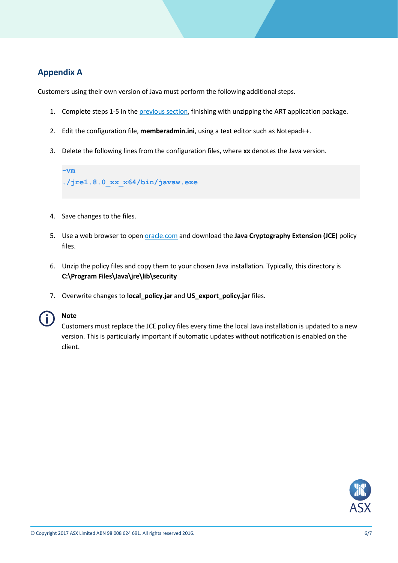## <span id="page-5-0"></span>**Appendix A**

Customers using their own version of Java must perform the following additional steps.

- 1. Complete steps 1-5 in th[e previous section,](#page-4-1) finishing with unzipping the ART application package.
- 2. Edit the configuration file, **memberadmin.ini**, using a text editor such as Notepad++.
- 3. Delete the following lines from the configuration files, where **xx** denotes the Java version.

**-vm ./jre1.8.0\_xx\_x64/bin/javaw.exe**

- 4. Save changes to the files.
- 5. Use a web browser to open [oracle.com](http://www.oracle.com/technetwork/java/javase/downloads/index.html) and download the **Java Cryptography Extension (JCE)** policy files.
- 6. Unzip the policy files and copy them to your chosen Java installation. Typically, this directory is **C:\Program Files\Java\jre\lib\security**
- 7. Overwrite changes to **local\_policy.jar** and **US\_export\_policy.jar** files.



### **Note**

Customers must replace the JCE policy files every time the local Java installation is updated to a new version. This is particularly important if automatic updates without notification is enabled on the client.